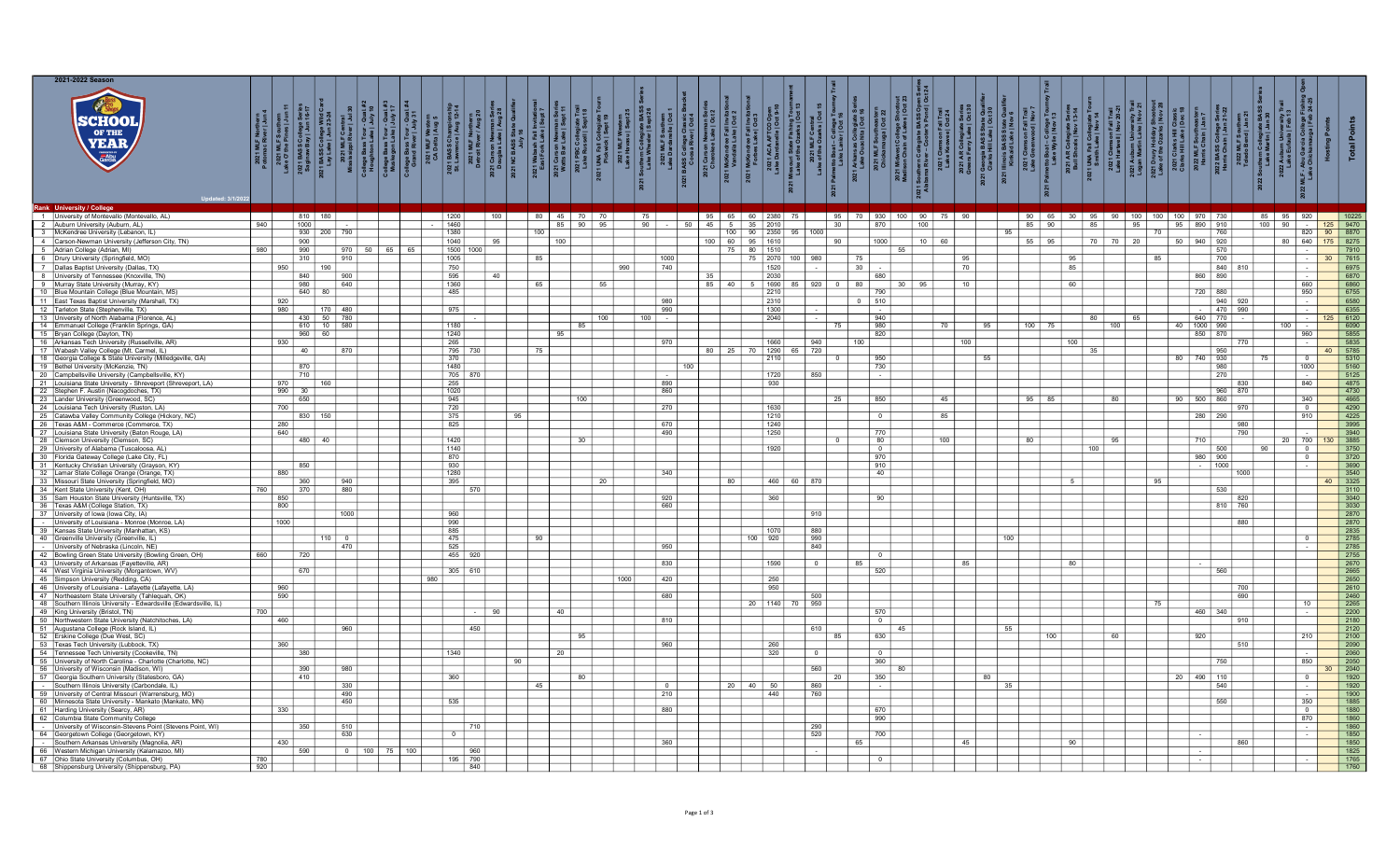| 2021-2022 Season<br>SCHOO<br>Garcia                                                                       | ត្តូ រ៉ូ | $\vert$ = $\vert$<br>oumern<br>185   Jun *<br>  lege Seria<br>  Jun 16-1<br>  Jun 16-1<br>:021 MLF Souther<br>e O' the Pines   Ju<br>1 BASS College S<br>ginaw Bay   Jun 1 | ใ ≏                                  | 1 BASS College Wild C<br>Lay Lake   Jun 23-24 | g 3  <br>iour<br>ake∣. |    | $\frac{1}{9}$ 31 |     |                     |     |                 |                     |       | $\frac{16}{10}$<br>2021 UNA Fa<br>Pickwi<br>2021 M<br>Lake Hav | 2021 South | NOT LIKE                | 2021 Ca     | $\geq 8$<br>ndree Fall<br>alla Lake | AFTCO Open<br>nelle   Oct 9-10<br>2021 | ត្ន                |                  |     |                                                     | $\frac{2021}{2021}$ |                               |     |     |            |                 | ollegiate<br>Is   Nov<br>UNA Fall (<br>Smith Lai | Trail<br>20-21<br>son Fall<br>ell   Nov :<br>Lake  <br>  Lake |     | ្គ ឌ        |                        |     | /ersny<br>∣Feb 1 | $\frac{1}{2}$                                                                                                     |                           |
|-----------------------------------------------------------------------------------------------------------|----------|----------------------------------------------------------------------------------------------------------------------------------------------------------------------------|--------------------------------------|-----------------------------------------------|------------------------|----|------------------|-----|---------------------|-----|-----------------|---------------------|-------|----------------------------------------------------------------|------------|-------------------------|-------------|-------------------------------------|----------------------------------------|--------------------|------------------|-----|-----------------------------------------------------|---------------------|-------------------------------|-----|-----|------------|-----------------|--------------------------------------------------|---------------------------------------------------------------|-----|-------------|------------------------|-----|------------------|-------------------------------------------------------------------------------------------------------------------|---------------------------|
| Rank University / College                                                                                 |          |                                                                                                                                                                            |                                      |                                               |                        |    |                  |     |                     |     |                 |                     |       |                                                                |            |                         |             |                                     |                                        |                    |                  |     |                                                     |                     |                               |     |     |            |                 |                                                  |                                                               |     |             |                        |     |                  |                                                                                                                   |                           |
| 1   University of Montevallo (Montevallo, AL)                                                             |          |                                                                                                                                                                            | 810 180                              |                                               |                        |    |                  |     | 1200                | 100 |                 | 80<br>$45 \text{ }$ | 70 70 |                                                                | 75         |                         | 95 65       |                                     | 2380.1                                 |                    |                  |     |                                                     |                     | 95   70   930   100   90   75 | 90  |     |            |                 |                                                  | 90 65 30 95 90 100                                            | 100 |             | 100 970 730            |     | 85 95 920        |                                                                                                                   |                           |
| Auburn University (Auburn, AL)                                                                            | 940      |                                                                                                                                                                            | 1000                                 |                                               |                        |    |                  |     | 1460                |     |                 | 85                  | 90    | 95                                                             | 90         | 50                      | $45 \mid 5$ |                                     |                                        |                    |                  | 30  | 870                                                 |                     | 100 $ $                       |     |     |            | 85 90           | 85                                               | 95                                                            |     | 95 890 910  |                        | 100 | 90               | $\sim$                                                                                                            | 9470<br>125               |
| McKendree University (Lebanon, IL)<br>4 Carson-Newman University (Jefferson City, TN)                     |          |                                                                                                                                                                            | 930 200 790<br>900                   |                                               |                        |    |                  |     | 1380<br>1040        | 95  | 100             | 100                 |       |                                                                |            |                         |             | $100$ 90<br>$100$ 60 95             | 1610                                   | $ 2350 $ 95   1000 |                  | 90  | 1000                                                |                     | 10<br>60                      |     |     | 95  <br>55 | 95              |                                                  | 70 70<br>20                                                   |     | 50          | 760<br>940 920         |     | 80               | 820<br>640                                                                                                        | 8870<br>90<br>175<br>8275 |
| Adrian College (Adrian, MI)                                                                               | 980      |                                                                                                                                                                            | 990                                  | 970                                           | 50                     | 65 | 65               |     | 1500 1000           |     |                 |                     |       |                                                                |            |                         |             | 75                                  | 80<br>1510                             |                    |                  |     |                                                     | 55                  |                               |     |     |            |                 |                                                  |                                                               |     |             | 570                    |     |                  | T.                                                                                                                | 7910                      |
| 6 Drury University (Springfield, MO)                                                                      |          |                                                                                                                                                                            | 310                                  | $\frac{1}{910}$                               |                        |    |                  |     | 1005                |     | 85              |                     |       |                                                                |            | 1000                    |             |                                     | 75                                     | 2070 100 980       |                  | 75  |                                                     |                     |                               | 95  |     |            | 95              |                                                  |                                                               | 85  |             | 700                    |     |                  | $\sim$ 100 $\mu$                                                                                                  | 7615<br>30 <sup>1</sup>   |
| Dallas Baptist University (Dallas, TX)                                                                    |          | 950                                                                                                                                                                        | $\frac{1}{190}$                      |                                               |                        |    |                  |     | 750                 |     |                 |                     |       | 990                                                            |            | 740                     |             |                                     | 1520                                   |                    |                  | 30  |                                                     |                     |                               | 70  |     |            | 85              |                                                  |                                                               |     |             | 840 810                |     |                  | $\sim$                                                                                                            | 6975                      |
| 8 University of Tennessee (Knoxville, TN)                                                                 |          |                                                                                                                                                                            | 840                                  | 900                                           |                        |    |                  |     | 595                 | 40  |                 |                     |       |                                                                |            |                         | 35          |                                     | 2030                                   |                    |                  |     | 680                                                 |                     |                               |     |     |            |                 |                                                  |                                                               |     |             | 860 890                |     |                  | $\sim$                                                                                                            | 6870                      |
| 9 Murray State University (Murray, KY)                                                                    |          |                                                                                                                                                                            | 980                                  | 640                                           |                        |    |                  |     | 1360                |     | 65              |                     |       |                                                                |            |                         | 85   40     |                                     | 1690                                   | 85                 | $\frac{1}{20}$   | 80  |                                                     | 30   95             |                               |     |     |            |                 | 60                                               |                                                               |     |             |                        |     |                  | 660                                                                                                               | 6860                      |
| 10 Blue Mountain College (Blue Mountain, MS)                                                              |          |                                                                                                                                                                            | $640$ 80<br>$\overline{\phantom{a}}$ |                                               |                        |    |                  |     | 485                 |     |                 |                     |       |                                                                |            |                         |             |                                     | 2210                                   |                    |                  |     | 790                                                 |                     |                               |     |     |            |                 |                                                  |                                                               |     | 720         | 880                    |     |                  | 950                                                                                                               | 6755                      |
| 11 East Texas Baptist University (Marshall, TX)                                                           |          | 920                                                                                                                                                                        |                                      | $170$ 480                                     |                        |    |                  |     | 975                 |     |                 |                     |       |                                                                |            | 980                     |             |                                     | 2310                                   |                    |                  |     | $0 \mid 510$                                        |                     |                               |     |     |            |                 |                                                  |                                                               |     |             | 940 920<br>$- 470$ 990 |     |                  | $\sim$                                                                                                            | 6580<br>6355              |
| 12 Tarleton State (Stephenville, TX)<br>University of North Alabama (Florence, AL)<br>13                  |          | 980                                                                                                                                                                        | 430 50 780                           |                                               |                        |    |                  |     |                     |     |                 |                     |       | 100                                                            | 100        | 990                     |             |                                     | 1300<br>2040                           |                    |                  |     | $\sim 100$<br>940                                   |                     |                               |     |     |            |                 | 80                                               | 65                                                            |     |             | 640 770                |     |                  | $\sim$<br>$\sim$ $\sim$                                                                                           | 6120                      |
| Emmanuel College (Franklin Springs, GA)                                                                   |          |                                                                                                                                                                            |                                      |                                               |                        |    |                  |     |                     |     |                 |                     |       |                                                                |            |                         |             |                                     |                                        |                    |                  |     |                                                     |                     |                               |     | 95  | 100        | 75              |                                                  | 100                                                           |     | 40 1000 990 |                        |     | 100              | $\sim 10^{-1}$                                                                                                    | 6090                      |
| 15   Bryan College (Dayton, TN)                                                                           |          |                                                                                                                                                                            | 610 10 580<br>960 60                 |                                               |                        |    |                  |     | $\frac{1180}{1240}$ |     |                 |                     |       |                                                                |            |                         |             |                                     |                                        |                    |                  |     | $\frac{980}{820}$                                   |                     |                               |     |     |            |                 |                                                  |                                                               |     |             | 850 870                |     |                  | 960                                                                                                               | 5855                      |
| 16 Arkansas Tech University (Russellville, AR                                                             |          | 930                                                                                                                                                                        |                                      |                                               |                        |    |                  |     | $\overline{265}$    |     |                 |                     |       |                                                                |            | 970                     |             |                                     | 1660                                   |                    | 940              | 100 |                                                     |                     |                               | 100 |     |            | 100             |                                                  |                                                               |     |             | 770                    |     |                  | <b>Contract</b>                                                                                                   | $-5835$                   |
| 17 Wabash Valley College (Mt. Carmel, IL)                                                                 |          |                                                                                                                                                                            | 40                                   | 870                                           |                        |    |                  |     | 795 730             |     |                 | 75                  |       |                                                                |            |                         |             |                                     | 80 25 70 1290 65 720                   |                    |                  |     |                                                     |                     |                               |     |     |            |                 | 35                                               |                                                               |     |             | 950                    |     |                  |                                                                                                                   | 40 5785                   |
| 18 Georgia College & State University (Milledgeville, GA)                                                 |          |                                                                                                                                                                            | 870                                  |                                               |                        |    |                  |     | 370<br>1480         |     |                 |                     |       |                                                                |            |                         |             |                                     | 2110                                   |                    |                  |     | 950<br>730                                          |                     |                               |     |     |            |                 |                                                  |                                                               |     | 80 740 930  |                        |     |                  | $\overline{\mathbf{0}}$<br>1000                                                                                   | 5310                      |
| Bethel University (McKenzie, TN)<br>20 Campbellsville University (Campbellsville, KY)                     |          |                                                                                                                                                                            | 710                                  |                                               |                        |    |                  |     | 705 870             |     |                 |                     |       |                                                                |            |                         |             |                                     | 1720                                   |                    | 850              |     | $\sim$ $\sim$                                       |                     |                               |     |     |            |                 |                                                  |                                                               |     |             | 980<br>$\sqrt{270}$    |     |                  | $\overline{a}$                                                                                                    | 5160<br>$-5125$           |
| 21   Louisiana State University - Shreveport (Shreveport, LA)                                             |          |                                                                                                                                                                            | 970 160                              |                                               |                        |    |                  |     | 255                 |     |                 |                     |       |                                                                |            | 890                     |             |                                     | 930                                    |                    |                  |     |                                                     |                     |                               |     |     |            |                 |                                                  |                                                               |     |             | 830                    |     |                  | 840                                                                                                               | 4875                      |
| Stephen F. Austin (Nacogdoches, TX)                                                                       |          | $990$ 30                                                                                                                                                                   |                                      |                                               |                        |    |                  |     | $1020$              |     |                 |                     |       |                                                                |            | 860                     |             |                                     |                                        |                    |                  |     |                                                     |                     |                               |     |     |            |                 |                                                  |                                                               |     |             | 960 870                |     |                  |                                                                                                                   | 4730                      |
| Lander University (Greenwood, SC)                                                                         |          |                                                                                                                                                                            | 650                                  |                                               |                        |    |                  |     | 945                 |     |                 |                     | 100   |                                                                |            |                         |             |                                     |                                        |                    |                  |     | 850                                                 |                     | 45                            |     |     | 95         | - 85            |                                                  | 80                                                            |     | 90<br>500   | 860                    |     |                  | 340                                                                                                               | 4665                      |
| Louisiana Tech University (Ruston, LA)<br>24                                                              |          | 700                                                                                                                                                                        |                                      |                                               |                        |    |                  |     | 720                 |     |                 |                     |       |                                                                |            | 270                     |             |                                     | 1630                                   |                    |                  |     |                                                     |                     |                               |     |     |            |                 |                                                  |                                                               |     |             | 970                    |     |                  | $\overline{0}$                                                                                                    | 4290                      |
| Catawba Valley Community College (Hickory, NC)<br>25                                                      |          |                                                                                                                                                                            | 830 150                              |                                               |                        |    |                  |     | 375                 |     | 95              |                     |       |                                                                |            |                         |             |                                     | 1210                                   |                    |                  |     | $\overline{\phantom{0}}$ 0 $\overline{\phantom{0}}$ |                     | 85                            |     |     |            |                 |                                                  |                                                               |     |             | 280 290                |     |                  | 910                                                                                                               | 4225                      |
| Texas A&M - Commerce (Commerce, TX)<br>26                                                                 |          | $\frac{280}{640}$                                                                                                                                                          |                                      |                                               |                        |    |                  |     | 825                 |     |                 |                     |       |                                                                |            | 670<br>490              |             |                                     | $\frac{1240}{1250}$                    |                    |                  |     | $\frac{1}{770}$                                     |                     |                               |     |     |            |                 |                                                  |                                                               |     |             | 980<br>790             |     |                  |                                                                                                                   | 3995<br>3940              |
| ouisiana State University (Baton Rouge, LA)<br>Clemson University (Clemson, SC)                           |          |                                                                                                                                                                            | $480$ $40$                           |                                               |                        |    |                  |     | $\frac{1}{1420}$    |     |                 |                     |       |                                                                |            |                         |             |                                     |                                        |                    |                  |     | 80                                                  |                     | 100                           |     |     | 80         |                 |                                                  | $\overline{95}$                                               |     | 710         |                        |     | $20$ 700         |                                                                                                                   | 3885                      |
| 29 University of Alabama (Tuscaloosa, AL)                                                                 |          |                                                                                                                                                                            |                                      |                                               |                        |    |                  |     | 1140                |     |                 |                     |       |                                                                |            |                         |             |                                     | 1920                                   |                    |                  |     | $\overline{\phantom{0}}$                            |                     |                               |     |     |            |                 | 100                                              |                                                               |     |             | 500                    | 90  |                  |                                                                                                                   | 3750                      |
| 30 Florida Gateway College (Lake City, FL)                                                                |          |                                                                                                                                                                            |                                      |                                               |                        |    |                  |     | 870                 |     |                 |                     |       |                                                                |            |                         |             |                                     |                                        |                    |                  |     | 970                                                 |                     |                               |     |     |            |                 |                                                  |                                                               |     |             | $980$ 900              |     |                  | $\Omega$                                                                                                          | 3720                      |
| Kentucky Christian University (Grayson, KY)                                                               |          |                                                                                                                                                                            | 850                                  |                                               |                        |    |                  |     | 930                 |     |                 |                     |       |                                                                |            |                         |             |                                     |                                        |                    |                  |     | 910                                                 |                     |                               |     |     |            |                 |                                                  |                                                               |     |             | $- 1000$               |     |                  |                                                                                                                   | 3690                      |
| Lamar State College Orange (Orange, TX)                                                                   |          | 880                                                                                                                                                                        |                                      |                                               |                        |    |                  |     | 1280                |     |                 |                     |       |                                                                |            | 340                     |             |                                     |                                        |                    |                  |     | 40                                                  |                     |                               |     |     |            |                 |                                                  |                                                               |     |             | 1000                   |     |                  |                                                                                                                   | 3540                      |
| Missouri State University (Springfield, MO)                                                               | 760      |                                                                                                                                                                            | 360                                  | 940<br>880                                    |                        |    |                  |     | 395                 |     |                 |                     |       | 20                                                             |            |                         |             | 80                                  | 460                                    |                    | 60 870           |     |                                                     |                     |                               |     |     |            |                 |                                                  |                                                               | 95  |             |                        |     |                  |                                                                                                                   | 3325                      |
| 34 Kent State University (Kent, OH)<br>35 Sam Houston State University (Huntsville, TX)                   |          | 850                                                                                                                                                                        | 370                                  |                                               |                        |    |                  |     | 570                 |     |                 |                     |       |                                                                |            | 920                     |             |                                     | 360                                    |                    |                  |     | 90                                                  |                     |                               |     |     |            |                 |                                                  |                                                               |     |             | 530<br>820             |     |                  |                                                                                                                   | 3110<br>3040              |
| Texas A&M (College Station, TX)                                                                           |          | 800                                                                                                                                                                        |                                      |                                               |                        |    |                  |     |                     |     |                 |                     |       |                                                                |            | 660                     |             |                                     |                                        |                    |                  |     |                                                     |                     |                               |     |     |            |                 |                                                  |                                                               |     |             | 810 760                |     |                  |                                                                                                                   | 3030                      |
| University of Iowa (Iowa City, IA)                                                                        |          |                                                                                                                                                                            |                                      | 1000                                          |                        |    |                  |     | 960                 |     |                 |                     |       |                                                                |            |                         |             |                                     |                                        |                    | 910              |     |                                                     |                     |                               |     |     |            |                 |                                                  |                                                               |     |             |                        |     |                  |                                                                                                                   | 2870                      |
| University of Louisiana - Monroe (Monroe, LA)                                                             |          | 1000                                                                                                                                                                       |                                      |                                               |                        |    |                  |     | 990                 |     |                 |                     |       |                                                                |            |                         |             |                                     |                                        |                    |                  |     |                                                     |                     |                               |     |     |            |                 |                                                  |                                                               |     |             | 880                    |     |                  |                                                                                                                   | 2870                      |
| 39   Kansas State University (Manhattan, KS)                                                              |          |                                                                                                                                                                            |                                      |                                               |                        |    |                  |     | 885                 |     |                 |                     |       |                                                                |            |                         |             |                                     | 107                                    |                    | 880              |     |                                                     |                     |                               |     |     |            |                 |                                                  |                                                               |     |             |                        |     |                  |                                                                                                                   | 2835                      |
| 40 Greenville University (Greenville, IL)                                                                 |          |                                                                                                                                                                            |                                      | $110$ 0                                       |                        |    |                  |     | $-475$              |     | $\overline{90}$ |                     |       |                                                                |            |                         |             |                                     | $100$ 920                              |                    | $\overline{990}$ |     |                                                     |                     |                               |     | 100 |            |                 |                                                  |                                                               |     |             |                        |     |                  | $\Omega$                                                                                                          | $\boxed{2785}$            |
| University of Nebraska (Lincoln, NE)                                                                      | 660      |                                                                                                                                                                            | 720                                  | 470                                           |                        |    |                  |     | 525<br>455          |     |                 |                     |       |                                                                |            | 950                     |             |                                     |                                        |                    | 840              |     |                                                     |                     |                               |     |     |            |                 |                                                  |                                                               |     |             |                        |     |                  |                                                                                                                   | 2785                      |
| Bowling Green State University (Bowling Green, OH)<br>43 University of Arkansas (Fayetteville, AR)        |          |                                                                                                                                                                            |                                      |                                               |                        |    |                  |     | 92(                 |     |                 |                     |       |                                                                |            | 830                     |             |                                     | 1590                                   |                    |                  |     |                                                     |                     |                               | 85  |     |            | $\overline{80}$ |                                                  |                                                               |     |             |                        |     |                  |                                                                                                                   | 2670                      |
| 44   West Virginia University (Morgantown, WV)                                                            |          |                                                                                                                                                                            | 670                                  |                                               |                        |    |                  |     | $305$ 610           |     |                 |                     |       |                                                                |            |                         |             |                                     |                                        |                    |                  |     | 520                                                 |                     |                               |     |     |            |                 |                                                  |                                                               |     |             | 560                    |     |                  |                                                                                                                   | 2665                      |
| 45 Simpson University (Redding, CA)                                                                       |          |                                                                                                                                                                            |                                      |                                               |                        |    |                  | 980 |                     |     |                 |                     |       | 1000                                                           |            | 420                     |             |                                     | 250                                    |                    |                  |     |                                                     |                     |                               |     |     |            |                 |                                                  |                                                               |     |             |                        |     |                  |                                                                                                                   | 2650                      |
| 46 University of Louisiana - Lafayette (Lafayette, LA)                                                    |          | 960                                                                                                                                                                        |                                      |                                               |                        |    |                  |     |                     |     |                 |                     |       |                                                                |            |                         |             |                                     | 950                                    |                    |                  |     |                                                     |                     |                               |     |     |            |                 |                                                  |                                                               |     |             | 700                    |     |                  |                                                                                                                   | 2610                      |
| A7<br>Northeastern State University (Tahlequah, OK)                                                       |          | 590                                                                                                                                                                        |                                      |                                               |                        |    |                  |     |                     |     |                 |                     |       |                                                                |            | 680                     |             |                                     |                                        |                    | 500              |     |                                                     |                     |                               |     |     |            |                 |                                                  |                                                               |     |             | 690                    |     |                  |                                                                                                                   | 2460                      |
| 48 Southern Illinois University - Edwardsville (Edwardsville, IL)                                         |          |                                                                                                                                                                            |                                      |                                               |                        |    |                  |     |                     |     |                 |                     |       |                                                                |            |                         |             |                                     | 20 1140                                |                    | 70 950           |     | 570                                                 |                     |                               |     |     |            |                 |                                                  |                                                               |     |             |                        |     |                  | 10                                                                                                                | 2265                      |
| 49 King University (Bristol, TN)<br>50 Northwestern State University (Natchitoches, LA)                   | 700      | 460                                                                                                                                                                        |                                      |                                               |                        |    |                  |     |                     | 90  |                 | 40                  |       |                                                                |            | 810                     |             |                                     |                                        |                    |                  |     | $\overline{0}$                                      |                     |                               |     |     |            |                 |                                                  |                                                               |     |             | 460 340<br>910         |     |                  |                                                                                                                   | 2200<br>2180              |
| 51 Augustana College (Rock Island, IL)                                                                    |          |                                                                                                                                                                            |                                      | 960                                           |                        |    |                  |     | 450                 |     |                 |                     |       |                                                                |            |                         |             |                                     |                                        |                    | 610              |     |                                                     | 45                  |                               |     | 55  |            |                 |                                                  |                                                               |     |             |                        |     |                  |                                                                                                                   | 2120                      |
| Erskine College (Due West, SC)                                                                            |          |                                                                                                                                                                            |                                      |                                               |                        |    |                  |     |                     |     |                 |                     |       |                                                                |            |                         |             |                                     |                                        |                    | 85               |     | 630                                                 |                     |                               |     |     |            | 100             |                                                  | 60                                                            |     | 920         |                        |     |                  | $\overline{210}$                                                                                                  |                           |
| 53<br>Texas Tech University (Lubbock, TX)                                                                 |          | 360                                                                                                                                                                        |                                      |                                               |                        |    |                  |     |                     |     |                 |                     |       |                                                                |            | 960                     |             |                                     | 260                                    |                    |                  |     |                                                     |                     |                               |     |     |            |                 |                                                  |                                                               |     |             | 510                    |     |                  |                                                                                                                   | 2090                      |
| Tennessee Tech University (Cookeville, TN)<br>54                                                          |          |                                                                                                                                                                            | 380                                  |                                               |                        |    |                  |     | 1340                |     |                 | 20                  |       |                                                                |            |                         |             |                                     | 320                                    |                    | $\overline{0}$   |     | $^{\circ}$                                          |                     |                               |     |     |            |                 |                                                  |                                                               |     |             |                        |     |                  | $\sim$                                                                                                            | 2060                      |
| 55   University of North Carolina - Charlotte (Charlotte, NC)<br>56 University of Wisconsin (Madison, WI) |          |                                                                                                                                                                            | 390                                  | 980                                           |                        |    |                  |     |                     |     | 90              |                     |       |                                                                |            |                         |             |                                     |                                        |                    | 560              |     | 360                                                 | 80                  |                               |     |     |            |                 |                                                  |                                                               |     |             | 750                    |     |                  | 850                                                                                                               | 2050<br>2040              |
| 57<br>Georgia Southern University (Statesboro, GA)                                                        |          |                                                                                                                                                                            | 410                                  |                                               |                        |    |                  |     | 360                 |     |                 |                     | 80    |                                                                |            |                         |             |                                     |                                        |                    |                  |     | 350                                                 |                     |                               |     | 80  |            |                 |                                                  |                                                               |     | 20          | 490 110                |     |                  | $\overline{\phantom{0}}$                                                                                          | 1920                      |
| Southern Illinois University (Carbondale, IL)                                                             |          |                                                                                                                                                                            |                                      |                                               | 330                    |    |                  |     |                     |     | 45              |                     |       |                                                                |            | $\overline{\mathbf{0}}$ |             | - 20                                | 40<br>50                               |                    | 860              |     |                                                     |                     |                               |     | -35 |            |                 |                                                  |                                                               |     |             | 540                    |     |                  | $\sim$ $-$                                                                                                        | 1920                      |
| 59 University of Central Missouri (Warrensburg, MO)                                                       |          |                                                                                                                                                                            |                                      | 490                                           |                        |    |                  |     |                     |     |                 |                     |       |                                                                |            | 210                     |             |                                     | 440                                    |                    | 760              |     |                                                     |                     |                               |     |     |            |                 |                                                  |                                                               |     |             |                        |     |                  |                                                                                                                   | 1900                      |
| 60 Minnesota State University - Mankato (Mankato, MN)                                                     |          |                                                                                                                                                                            |                                      | 450                                           |                        |    |                  |     | 535                 |     |                 |                     |       |                                                                |            |                         |             |                                     |                                        |                    |                  |     |                                                     |                     |                               |     |     |            |                 |                                                  |                                                               |     |             | 550                    |     |                  | 350                                                                                                               | 1885                      |
| 61 Harding University (Searcy, AR)                                                                        |          | 330                                                                                                                                                                        |                                      |                                               |                        |    |                  |     |                     |     |                 |                     |       |                                                                |            | 880                     |             |                                     |                                        |                    |                  |     | 670                                                 |                     |                               |     |     |            |                 |                                                  |                                                               |     |             |                        |     |                  | $\begin{array}{\begin{array}{\small \begin{array}{\small \end{array}}}}\n\bullet \quad \bullet \quad \end{array}$ | 1880                      |
| Columbia State Community College                                                                          |          |                                                                                                                                                                            |                                      | 510                                           |                        |    |                  |     | 710                 |     |                 |                     |       |                                                                |            |                         |             |                                     |                                        |                    |                  |     | 990                                                 |                     |                               |     |     |            |                 |                                                  |                                                               |     |             |                        |     |                  | 870                                                                                                               | 1860<br>1860              |
| University of Wisconsin-Stevens Point (Stevens Point, WI)<br>64 Georgetown College (Georgetown, KY)       |          |                                                                                                                                                                            | 350                                  | 630                                           |                        |    |                  |     | $\circ$ 1           |     |                 |                     |       |                                                                |            |                         |             |                                     |                                        |                    | 290<br>520       |     | 700                                                 |                     |                               |     |     |            |                 |                                                  |                                                               |     | $\sim$      |                        |     |                  | $\sim$                                                                                                            | 1850                      |
| Southern Arkansas University (Magnolia, AR)                                                               |          | 430                                                                                                                                                                        |                                      |                                               |                        |    |                  |     |                     |     |                 |                     |       |                                                                |            | 360                     |             |                                     |                                        |                    |                  | 65  |                                                     |                     |                               | 45  |     |            | 90              |                                                  |                                                               |     |             | 860                    |     |                  |                                                                                                                   | 1850                      |
| 66 Western Michigan University (Kalamazoo, MI)                                                            |          |                                                                                                                                                                            | 590                                  |                                               | 100<br>$\mathbf{0}$    |    | $75$ 100         |     | 960                 |     |                 |                     |       |                                                                |            |                         |             |                                     |                                        |                    |                  |     |                                                     |                     |                               |     |     |            |                 |                                                  |                                                               |     |             |                        |     |                  |                                                                                                                   | 1825                      |
| 67 Ohio State University (Columbus, OH)                                                                   | 780      |                                                                                                                                                                            |                                      |                                               |                        |    |                  |     | 790<br>195          |     |                 |                     |       |                                                                |            |                         |             |                                     |                                        |                    |                  |     |                                                     |                     |                               |     |     |            |                 |                                                  |                                                               |     |             |                        |     |                  |                                                                                                                   | 1765                      |
| 68 Shippensburg University (Shippensburg, PA)                                                             | 920      |                                                                                                                                                                            |                                      |                                               |                        |    |                  |     | 840                 |     |                 |                     |       |                                                                |            |                         |             |                                     |                                        |                    |                  |     |                                                     |                     |                               |     |     |            |                 |                                                  |                                                               |     |             |                        |     |                  |                                                                                                                   |                           |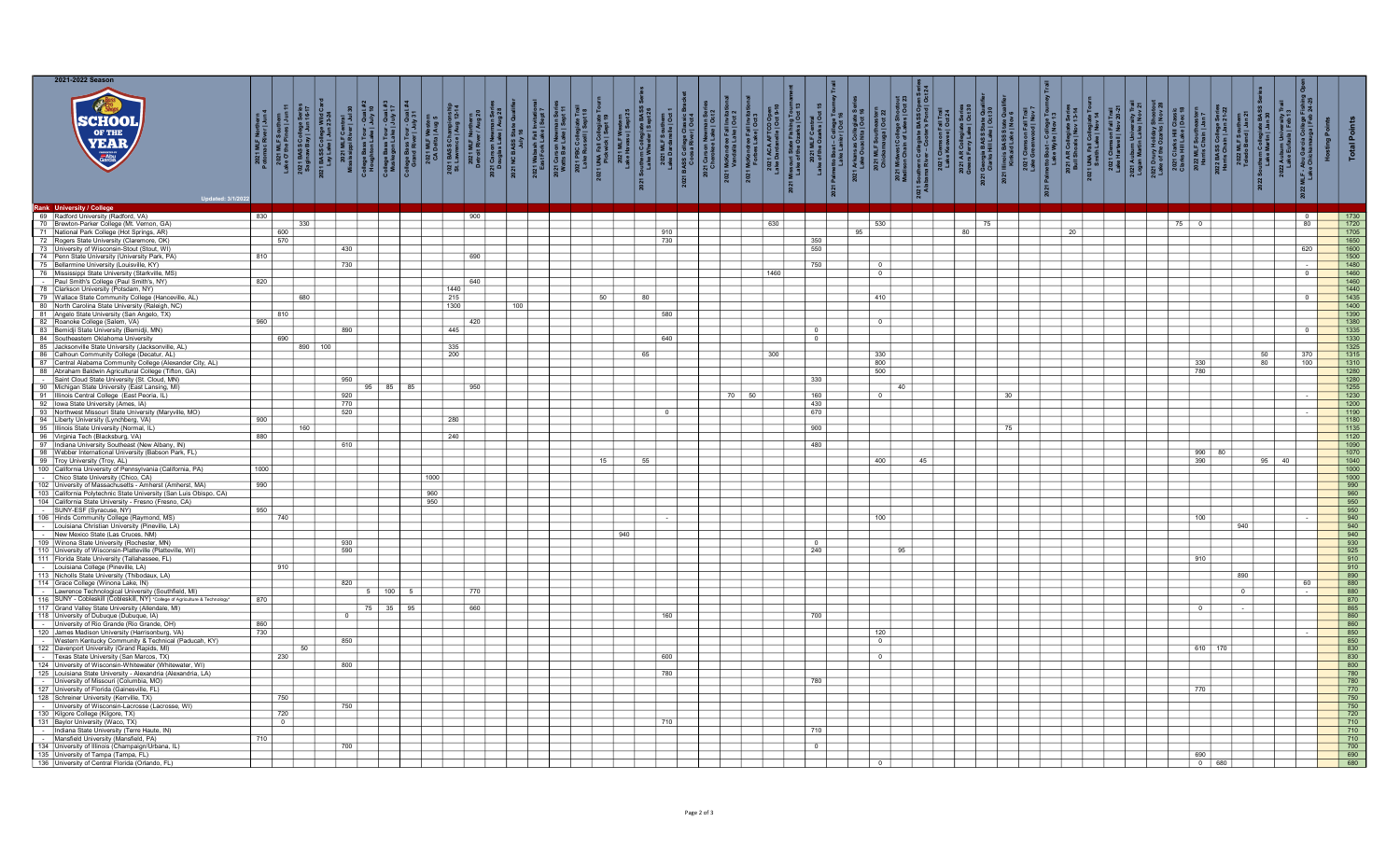|                 | 2021-2022 Season                                                                                                                                   |                   |                                                                   |                           |          |               |                                             |                    |                            |     |     |                |              |      |     |                       |              |    |                             |                                                |                                     |                                 |                              |                |       |            |                                                                          |
|-----------------|----------------------------------------------------------------------------------------------------------------------------------------------------|-------------------|-------------------------------------------------------------------|---------------------------|----------|---------------|---------------------------------------------|--------------------|----------------------------|-----|-----|----------------|--------------|------|-----|-----------------------|--------------|----|-----------------------------|------------------------------------------------|-------------------------------------|---------------------------------|------------------------------|----------------|-------|------------|--------------------------------------------------------------------------|
|                 | <b>SCHOO!</b><br>YEAR YEAR                                                                                                                         |                   | $\frac{1}{2}$ $\frac{1}{8}$ $\frac{6}{5}$<br>College:<br>ay   Jun | $rac{8}{8}$ $\frac{5}{2}$ |          | $\frac{1}{3}$ | aual<br>Iy 31<br>2021 MLF W<br>CA Delta   / |                    | 2021 Wabash<br>East Fork L |     |     | MLF :<br>ardan | 2021<br>2021 |      |     | pinegrane<br>ta   Oct | 2021<br>Madi |    | : – College<br>ylie   Nov 1 | Series<br>13-14<br>:ollegiate :<br>als   Nov 1 | Trail<br>20-21<br>$\frac{1}{n}$ all | Jake  <br>Lake  <br>day<br>arks |                              |                |       |            |                                                                          |
|                 | Rank University / College                                                                                                                          |                   |                                                                   |                           |          |               |                                             |                    |                            |     |     |                |              |      |     |                       |              |    |                             |                                                |                                     |                                 |                              |                |       |            |                                                                          |
|                 | 69 Radford University (Radford, VA)                                                                                                                | 830               |                                                                   |                           |          |               |                                             | 900                |                            |     |     |                |              |      |     |                       |              |    |                             |                                                |                                     |                                 |                              |                |       |            |                                                                          |
|                 | 70 Brewton-Parker College (Mt. Vernon, GA)                                                                                                         |                   | 330                                                               |                           |          |               |                                             |                    |                            |     |     |                |              | 630  |     | 530                   |              | 75 |                             |                                                |                                     | 75 0                            |                              |                |       | 80         | 1720                                                                     |
|                 | 71 National Park College (Hot Springs, AR)                                                                                                         |                   | 600                                                               |                           |          |               |                                             |                    |                            |     |     | 910            |              |      |     | 95                    |              | 80 |                             | - 20                                           |                                     |                                 |                              |                |       |            | 1705                                                                     |
| 72              | Rogers State University (Claremore, OK)                                                                                                            |                   | 570                                                               |                           |          |               |                                             |                    |                            |     |     | 730            |              |      | 350 |                       |              |    |                             |                                                |                                     |                                 |                              |                |       |            | 1650                                                                     |
|                 | University of Wisconsin-Stout (Stout, WI)                                                                                                          |                   |                                                                   |                           | 430      |               |                                             |                    |                            |     |     |                |              |      | 550 |                       |              |    |                             |                                                |                                     |                                 |                              |                |       | 620        | 1600                                                                     |
|                 | 74 Penn State University (University Park, PA)                                                                                                     | 810               |                                                                   |                           |          |               |                                             | 690                |                            |     |     |                |              |      |     |                       |              |    |                             |                                                |                                     |                                 |                              |                |       |            | 1500                                                                     |
|                 | 75 Bellarmine University (Louisville, KY)                                                                                                          |                   |                                                                   |                           |          |               |                                             |                    |                            |     |     |                |              |      | 750 | $\overline{0}$        |              |    |                             |                                                |                                     |                                 |                              |                |       |            | 1480                                                                     |
|                 |                                                                                                                                                    |                   |                                                                   |                           | 730      |               |                                             |                    |                            |     |     |                |              | 1460 |     | $\overline{0}$        |              |    |                             |                                                |                                     |                                 |                              |                |       | $\sqrt{2}$ | 1460                                                                     |
|                 | 76 Mississippi State University (Starkville, MS)<br>- Paul Smith's College (Paul Smith's, NY)                                                      | 820               |                                                                   |                           |          |               |                                             | 640                |                            |     |     |                |              |      |     |                       |              |    |                             |                                                |                                     |                                 |                              |                |       |            | 1460                                                                     |
|                 | Clarkson University (Potsdam, NY)                                                                                                                  |                   |                                                                   |                           |          |               |                                             |                    |                            |     |     |                |              |      |     |                       |              |    |                             |                                                |                                     |                                 |                              |                |       |            | 1440                                                                     |
|                 | 79 Wallace State Community College (Hanceville, AL)                                                                                                |                   | 680                                                               |                           |          |               |                                             | $\frac{1440}{215}$ |                            | -50 | -80 |                |              |      |     | 410                   |              |    |                             |                                                |                                     |                                 |                              |                |       |            | 1435                                                                     |
|                 | 80 North Carolina State University (Raleigh, NC)                                                                                                   |                   |                                                                   |                           |          |               |                                             | 1300               | 100                        |     |     |                |              |      |     |                       |              |    |                             |                                                |                                     |                                 |                              |                |       |            | 1400                                                                     |
| 81              | Angelo State University (San Angelo, TX)                                                                                                           |                   | 810                                                               |                           |          |               |                                             |                    |                            |     |     | 580            |              |      |     |                       |              |    |                             |                                                |                                     |                                 |                              |                |       |            | 1390                                                                     |
|                 | Roanoke College (Salem, VA)                                                                                                                        | 960               |                                                                   |                           |          |               |                                             | 420                |                            |     |     |                |              |      |     | $\overline{0}$        |              |    |                             |                                                |                                     |                                 |                              |                |       |            | 1380                                                                     |
|                 | 83 Bemidji State University (Bemidji, MN)                                                                                                          |                   |                                                                   |                           | 890      |               |                                             | 445                |                            |     |     |                |              |      |     |                       |              |    |                             |                                                |                                     |                                 |                              |                |       |            | 1335                                                                     |
| 84              | Southeastern Oklahoma University                                                                                                                   |                   | 690                                                               |                           |          |               |                                             |                    |                            |     |     | 640            |              |      |     |                       |              |    |                             |                                                |                                     |                                 |                              |                |       |            | 1330                                                                     |
|                 | 85 Jacksonville State University (Jacksonville, AL)                                                                                                |                   |                                                                   | $890$ 100                 |          |               |                                             | 335                |                            |     |     |                |              |      |     |                       |              |    |                             |                                                |                                     |                                 |                              |                |       |            | 1325                                                                     |
| 86              |                                                                                                                                                    |                   |                                                                   |                           |          |               |                                             | 200                |                            |     | 65  |                |              | 300  |     | 330                   |              |    |                             |                                                |                                     |                                 |                              |                | 50    | 370        | 1315                                                                     |
| $\overline{87}$ | Calhoun Community College (Decatur, AL)<br>Central Alabama Community College (Alexander City, AL)                                                  |                   |                                                                   |                           |          |               |                                             |                    |                            |     |     |                |              |      |     |                       |              |    |                             |                                                |                                     |                                 | 330                          |                | 80    | 100        | 1310                                                                     |
|                 | 88 Abraham Baldwin Agricultural College (Tifton, GA)                                                                                               |                   |                                                                   |                           |          |               |                                             |                    |                            |     |     |                |              |      |     | $\frac{800}{500}$     |              |    |                             |                                                |                                     |                                 |                              |                |       |            | 1280                                                                     |
|                 |                                                                                                                                                    |                   |                                                                   |                           | 950      |               |                                             |                    |                            |     |     |                |              |      | 330 |                       |              |    |                             |                                                |                                     |                                 |                              |                |       |            | $\overline{1280}$                                                        |
|                 |                                                                                                                                                    |                   |                                                                   |                           | 95       | $85$ 85       |                                             | 950                |                            |     |     |                |              |      |     |                       | 40           |    |                             |                                                |                                     |                                 |                              |                |       |            | 1255                                                                     |
|                 | - Saint Cloud State University (St. Cloud, MN)<br>90 Michigan State University (East Lansing, MI)<br>91 Illinois Central College (East Peoria, IL) |                   |                                                                   |                           | 920      |               |                                             |                    |                            |     |     |                | 70 50        |      | 160 | $\Omega$              |              | 30 |                             |                                                |                                     |                                 |                              |                |       |            | 1230                                                                     |
|                 | 92   Iowa State University (Ames, IA)                                                                                                              |                   |                                                                   |                           | 770      |               |                                             |                    |                            |     |     |                |              |      | 430 |                       |              |    |                             |                                                |                                     |                                 |                              |                |       |            | 1200                                                                     |
| 93              |                                                                                                                                                    |                   |                                                                   |                           | 520      |               |                                             |                    |                            |     |     | $\Omega$       |              |      | 670 |                       |              |    |                             |                                                |                                     |                                 |                              |                |       |            | 1190                                                                     |
|                 | Northwest Missouri State University (Maryville, MO)                                                                                                | 900               |                                                                   |                           |          |               |                                             | 280                |                            |     |     |                |              |      |     |                       |              |    |                             |                                                |                                     |                                 |                              |                |       |            | 1180                                                                     |
|                 | 94 Liberty University (Lynchberg, VA)                                                                                                              |                   | 160                                                               |                           |          |               |                                             |                    |                            |     |     |                |              |      | 900 |                       |              |    |                             |                                                |                                     |                                 |                              |                |       |            | $\frac{1135}{ }$                                                         |
|                 | 95 Illinois State University (Normal, IL)                                                                                                          | 880               |                                                                   |                           |          |               |                                             | 240                |                            |     |     |                |              |      |     |                       |              | 75 |                             |                                                |                                     |                                 |                              |                |       |            | $1120$                                                                   |
|                 | 96 Virginia Tech (Blacksburg, VA)                                                                                                                  |                   |                                                                   |                           |          |               |                                             |                    |                            |     |     |                |              |      |     |                       |              |    |                             |                                                |                                     |                                 |                              |                |       |            |                                                                          |
| 98              | Indiana University Southeast (New Albany, IN)<br>Webber International University (Babson Park, FL)                                                 |                   |                                                                   |                           | 610      |               |                                             |                    |                            |     |     |                |              |      | 480 |                       |              |    |                             |                                                |                                     |                                 | $990$ 80                     |                |       |            | 1090<br>1070                                                             |
|                 |                                                                                                                                                    |                   |                                                                   |                           |          |               |                                             |                    |                            |     | 55  |                |              |      |     |                       |              |    |                             |                                                |                                     |                                 |                              |                |       |            | 1040                                                                     |
|                 | 99 Troy University (Troy, AL)                                                                                                                      |                   |                                                                   |                           |          |               |                                             |                    |                            | 15  |     |                |              |      |     | 400                   | 45           |    |                             |                                                |                                     |                                 | 390                          |                | 95 40 |            | 1000                                                                     |
|                 | 100 California University of Pennsylvania (California, PA)                                                                                         | 1000              |                                                                   |                           |          |               | 1000                                        |                    |                            |     |     |                |              |      |     |                       |              |    |                             |                                                |                                     |                                 |                              |                |       |            | $\overline{1000}$                                                        |
|                 | Chico State University (Chico, CA)                                                                                                                 | 990               |                                                                   |                           |          |               |                                             |                    |                            |     |     |                |              |      |     |                       |              |    |                             |                                                |                                     |                                 |                              |                |       |            | 990                                                                      |
|                 | 102 University of Massachusetts - Amherst (Amherst, MA)                                                                                            |                   |                                                                   |                           |          |               |                                             |                    |                            |     |     |                |              |      |     |                       |              |    |                             |                                                |                                     |                                 |                              |                |       |            |                                                                          |
|                 | 103 California Polytechnic State University (San Luis Obispo, CA)<br>104 California State University - Fresno (Fresno, CA)                         |                   |                                                                   |                           |          |               | 960<br>950                                  |                    |                            |     |     |                |              |      |     |                       |              |    |                             |                                                |                                     |                                 |                              |                |       |            | 960<br>950                                                               |
|                 |                                                                                                                                                    | 950               |                                                                   |                           |          |               |                                             |                    |                            |     |     |                |              |      |     |                       |              |    |                             |                                                |                                     |                                 |                              |                |       |            | 950                                                                      |
|                 | SUNY-ESF (Syracuse, NY)                                                                                                                            |                   | 740                                                               |                           |          |               |                                             |                    |                            |     |     |                |              |      |     | 100                   |              |    |                             |                                                |                                     |                                 | 100                          |                |       |            |                                                                          |
|                 | 106 Hinds Community College (Raymond, MS)<br>- Louisiana Christian University (Pineville, LA)                                                      |                   |                                                                   |                           |          |               |                                             |                    |                            |     |     |                |              |      |     |                       |              |    |                             |                                                |                                     |                                 |                              | 940            |       |            | $\frac{940}{940}$                                                        |
|                 | New Mexico State (Las Cruces, NM)                                                                                                                  |                   |                                                                   |                           |          |               |                                             |                    |                            |     | 940 |                |              |      |     |                       |              |    |                             |                                                |                                     |                                 |                              |                |       |            | 940                                                                      |
|                 | 109 Winona State University (Rochester, MN)                                                                                                        |                   |                                                                   |                           | 930      |               |                                             |                    |                            |     |     |                |              |      |     |                       |              |    |                             |                                                |                                     |                                 |                              |                |       |            | 930                                                                      |
|                 | 110 University of Wisconsin-Platteville (Platteville, WI)                                                                                          |                   |                                                                   |                           | 590      |               |                                             |                    |                            |     |     |                |              |      | 240 |                       | 95           |    |                             |                                                |                                     |                                 |                              |                |       |            | 925                                                                      |
|                 | 111 Florida State University (Tallahassee, FL)                                                                                                     |                   |                                                                   |                           |          |               |                                             |                    |                            |     |     |                |              |      |     |                       |              |    |                             |                                                |                                     |                                 | 910                          |                |       |            | 910                                                                      |
|                 | Louisiana College (Pineville, LA)                                                                                                                  |                   |                                                                   |                           |          |               |                                             |                    |                            |     |     |                |              |      |     |                       |              |    |                             |                                                |                                     |                                 |                              |                |       |            | 910                                                                      |
|                 | 113 Nicholls State University (Thibodaux, LA)                                                                                                      |                   |                                                                   |                           |          |               |                                             |                    |                            |     |     |                |              |      |     |                       |              |    |                             |                                                |                                     |                                 |                              | 890            |       |            | 890                                                                      |
|                 | 114 Grace College (Winona Lake, IN)                                                                                                                |                   |                                                                   |                           | 820      |               |                                             |                    |                            |     |     |                |              |      |     |                       |              |    |                             |                                                |                                     |                                 |                              |                |       | 60         | 880                                                                      |
|                 |                                                                                                                                                    |                   |                                                                   |                           |          | 100           |                                             | 770                |                            |     |     |                |              |      |     |                       |              |    |                             |                                                |                                     |                                 |                              | $\overline{0}$ |       |            | 880                                                                      |
|                 | - Lawrence Technological University (Southfield, MI)<br>116 SUNY - Cobleskill (Cobleskill, NY) "College of Agriculture & Technology                | 870               |                                                                   |                           |          |               |                                             |                    |                            |     |     |                |              |      |     |                       |              |    |                             |                                                |                                     |                                 |                              |                |       |            | 870                                                                      |
|                 | 117 Grand Valley State University (Allendale, MI)                                                                                                  |                   |                                                                   |                           |          |               |                                             | 66C                |                            |     |     |                |              |      |     |                       |              |    |                             |                                                |                                     |                                 |                              |                |       |            | 865                                                                      |
|                 | 118 University of Dubuque (Dubuque, IA)                                                                                                            |                   |                                                                   |                           | $\Omega$ |               |                                             |                    |                            |     |     | 160            |              |      | 700 |                       |              |    |                             |                                                |                                     |                                 |                              |                |       |            | 860                                                                      |
|                 | University of Rio Grande (Rio Grande, OH)                                                                                                          |                   |                                                                   |                           |          |               |                                             |                    |                            |     |     |                |              |      |     |                       |              |    |                             |                                                |                                     |                                 |                              |                |       |            | 860                                                                      |
|                 | 120 James Madison University (Harrisonburg, VA)                                                                                                    | $\frac{860}{730}$ |                                                                   |                           |          |               |                                             |                    |                            |     |     |                |              |      |     | 120                   |              |    |                             |                                                |                                     |                                 |                              |                |       |            | 850                                                                      |
|                 | Western Kentucky Community & Technical (Paducah, KY)                                                                                               |                   |                                                                   |                           | 850      |               |                                             |                    |                            |     |     |                |              |      |     | $\overline{0}$        |              |    |                             |                                                |                                     |                                 |                              |                |       |            | 850                                                                      |
|                 | 122 Davenport University (Grand Rapids, MI)                                                                                                        |                   | -50                                                               |                           |          |               |                                             |                    |                            |     |     |                |              |      |     |                       |              |    |                             |                                                |                                     |                                 | 610 170                      |                |       |            | 830                                                                      |
|                 | - Texas State University (San Marcos, TX)                                                                                                          |                   | 230                                                               |                           |          |               |                                             |                    |                            |     |     | 600            |              |      |     | $\overline{\circ}$    |              |    |                             |                                                |                                     |                                 |                              |                |       |            | 830                                                                      |
|                 | 124 University of Wisconsin-Whitewater (Whitewater, WI)                                                                                            |                   |                                                                   |                           | 800      |               |                                             |                    |                            |     |     |                |              |      |     |                       |              |    |                             |                                                |                                     |                                 |                              |                |       |            | 800                                                                      |
|                 | 125 Louisiana State University - Alexandria (Alexandria, LA)                                                                                       |                   |                                                                   |                           |          |               |                                             |                    |                            |     |     | 780            |              |      |     |                       |              |    |                             |                                                |                                     |                                 |                              |                |       |            | 780                                                                      |
| $\sim 10^{-1}$  | University of Missouri (Columbia, MO)                                                                                                              |                   |                                                                   |                           |          |               |                                             |                    |                            |     |     |                |              |      | 780 |                       |              |    |                             |                                                |                                     |                                 |                              |                |       |            | 780                                                                      |
|                 | 127 University of Florida (Gainesville, FL)                                                                                                        |                   |                                                                   |                           |          |               |                                             |                    |                            |     |     |                |              |      |     |                       |              |    |                             |                                                |                                     |                                 | 770                          |                |       |            | 770                                                                      |
|                 | 128 Schreiner University (Kerrville, TX)                                                                                                           |                   | 750                                                               |                           |          |               |                                             |                    |                            |     |     |                |              |      |     |                       |              |    |                             |                                                |                                     |                                 |                              |                |       |            | 750                                                                      |
|                 | University of Wisconsin-Lacrosse (Lacrosse, WI)                                                                                                    |                   |                                                                   |                           | 750      |               |                                             |                    |                            |     |     |                |              |      |     |                       |              |    |                             |                                                |                                     |                                 |                              |                |       |            | 750                                                                      |
|                 | 130 Kilgore College (Kilgore, TX)                                                                                                                  |                   | 720                                                               |                           |          |               |                                             |                    |                            |     |     |                |              |      |     |                       |              |    |                             |                                                |                                     |                                 |                              |                |       |            |                                                                          |
|                 | 131 Baylor University (Waco, TX)                                                                                                                   |                   | $^{\circ}$                                                        |                           |          |               |                                             |                    |                            |     |     | 710            |              |      |     |                       |              |    |                             |                                                |                                     |                                 |                              |                |       |            | 710                                                                      |
|                 | Indiana State University (Terre Haute, IN)                                                                                                         |                   |                                                                   |                           |          |               |                                             |                    |                            |     |     |                |              |      | 710 |                       |              |    |                             |                                                |                                     |                                 |                              |                |       |            | 710                                                                      |
|                 | Mansfield University (Mansfield, PA)                                                                                                               |                   |                                                                   |                           |          |               |                                             |                    |                            |     |     |                |              |      |     |                       |              |    |                             |                                                |                                     |                                 |                              |                |       |            | 710                                                                      |
|                 | 134 University of Illinois (Champaign/Urbana, IL)                                                                                                  |                   |                                                                   |                           | 700      |               |                                             |                    |                            |     |     |                |              |      |     |                       |              |    |                             |                                                |                                     |                                 |                              |                |       |            | $\begin{array}{ c c c }\n\hline\n\hline\n\end{array} \n\quad \text{700}$ |
|                 |                                                                                                                                                    |                   |                                                                   |                           |          |               |                                             |                    |                            |     |     |                |              |      |     |                       |              |    |                             |                                                |                                     |                                 |                              |                |       |            |                                                                          |
|                 |                                                                                                                                                    |                   |                                                                   |                           |          |               |                                             |                    |                            |     |     |                |              |      |     |                       |              |    |                             |                                                |                                     |                                 |                              |                |       |            | 690                                                                      |
|                 | 135 University of Tampa (Tampa, FL)<br>136 University of Central Florida (Orlando, FL                                                              |                   |                                                                   |                           |          |               |                                             |                    |                            |     |     |                |              |      |     |                       |              |    |                             |                                                |                                     |                                 | 690<br>$\overline{0}$<br>680 |                |       |            |                                                                          |